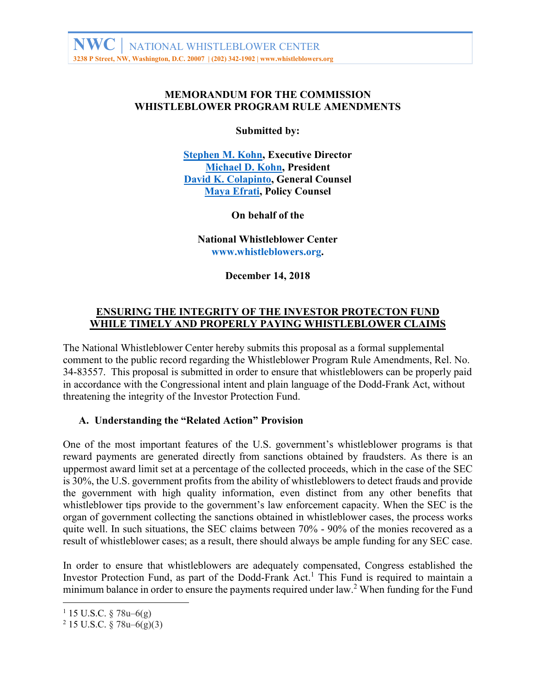# **MEMORANDUM FOR THE COMMISSION WHISTLEBLOWER PROGRAM RULE AMENDMENTS**

**Submitted by:**

**[Stephen M. Kohn,](https://www.kkc.com/our-attorneys/stephen-m-kohn) Executive Director [Michael D. Kohn,](https://www.kkc.com/our-attorneys/michael-d-kohn) President [David K. Colapinto,](https://www.kkc.com/our-attorneys/david-k002e-colapinto) General Counsel [Maya Efrati,](https://www.whistleblowers.org/members/maya-efrati/) Policy Counsel**

**On behalf of the**

**National Whistleblower Center [www.whistleblowers.org.](http://www.whistleblowers.org/)** 

**December 14, 2018**

#### **ENSURING THE INTEGRITY OF THE INVESTOR PROTECTON FUND WHILE TIMELY AND PROPERLY PAYING WHISTLEBLOWER CLAIMS**

The National Whistleblower Center hereby submits this proposal as a formal supplemental comment to the public record regarding the Whistleblower Program Rule Amendments, Rel. No. 34-83557. This proposal is submitted in order to ensure that whistleblowers can be properly paid in accordance with the Congressional intent and plain language of the Dodd-Frank Act, without threatening the integrity of the Investor Protection Fund.

## **A. Understanding the "Related Action" Provision**

One of the most important features of the U.S. government's whistleblower programs is that reward payments are generated directly from sanctions obtained by fraudsters. As there is an uppermost award limit set at a percentage of the collected proceeds, which in the case of the SEC is 30%, the U.S. government profits from the ability of whistleblowers to detect frauds and provide the government with high quality information, even distinct from any other benefits that whistleblower tips provide to the government's law enforcement capacity. When the SEC is the organ of government collecting the sanctions obtained in whistleblower cases, the process works quite well. In such situations, the SEC claims between 70% - 90% of the monies recovered as a result of whistleblower cases; as a result, there should always be ample funding for any SEC case.

In order to ensure that whistleblowers are adequately compensated, Congress established the Investor Protection Fund, as part of the Dodd-Frank Act.<sup>1</sup> This Fund is required to maintain a minimum balance in order to ensure the payments required under law. <sup>2</sup> When funding for the Fund

 $115$  U.S.C. § 78u–6(g)

 $^{2}$  15 U.S.C. § 78u–6(g)(3)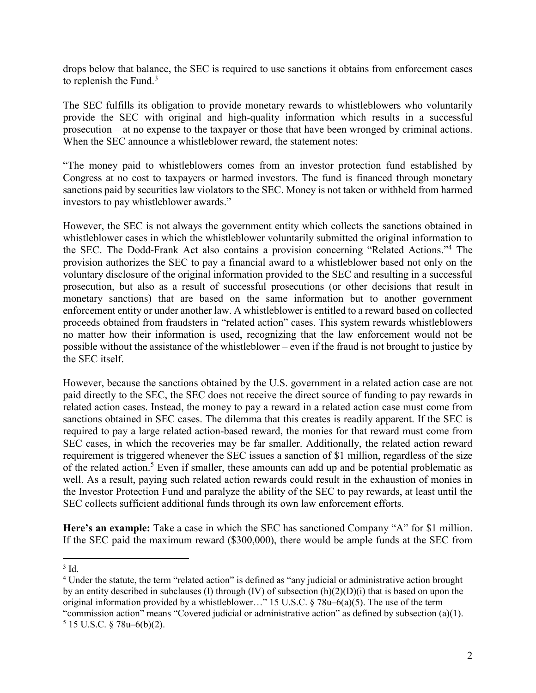drops below that balance, the SEC is required to use sanctions it obtains from enforcement cases to replenish the Fund. $3$ 

The SEC fulfills its obligation to provide monetary rewards to whistleblowers who voluntarily provide the SEC with original and high-quality information which results in a successful prosecution – at no expense to the taxpayer or those that have been wronged by criminal actions. When the SEC announce a whistleblower reward, the statement notes:

"The money paid to whistleblowers comes from an investor protection fund established by Congress at no cost to taxpayers or harmed investors. The fund is financed through monetary sanctions paid by securities law violators to the SEC. Money is not taken or withheld from harmed investors to pay whistleblower awards."

However, the SEC is not always the government entity which collects the sanctions obtained in whistleblower cases in which the whistleblower voluntarily submitted the original information to the SEC. The Dodd-Frank Act also contains a provision concerning "Related Actions."<sup>4</sup> The provision authorizes the SEC to pay a financial award to a whistleblower based not only on the voluntary disclosure of the original information provided to the SEC and resulting in a successful prosecution, but also as a result of successful prosecutions (or other decisions that result in monetary sanctions) that are based on the same information but to another government enforcement entity or under another law. A whistleblower is entitled to a reward based on collected proceeds obtained from fraudsters in "related action" cases. This system rewards whistleblowers no matter how their information is used, recognizing that the law enforcement would not be possible without the assistance of the whistleblower – even if the fraud is not brought to justice by the SEC itself.

However, because the sanctions obtained by the U.S. government in a related action case are not paid directly to the SEC, the SEC does not receive the direct source of funding to pay rewards in related action cases. Instead, the money to pay a reward in a related action case must come from sanctions obtained in SEC cases. The dilemma that this creates is readily apparent. If the SEC is required to pay a large related action-based reward, the monies for that reward must come from SEC cases, in which the recoveries may be far smaller. Additionally, the related action reward requirement is triggered whenever the SEC issues a sanction of \$1 million, regardless of the size of the related action.<sup>5</sup> Even if smaller, these amounts can add up and be potential problematic as well. As a result, paying such related action rewards could result in the exhaustion of monies in the Investor Protection Fund and paralyze the ability of the SEC to pay rewards, at least until the SEC collects sufficient additional funds through its own law enforcement efforts.

**Here's an example:** Take a case in which the SEC has sanctioned Company "A" for \$1 million. If the SEC paid the maximum reward (\$300,000), there would be ample funds at the SEC from

3 Id.

<sup>4</sup> Under the statute, the term "related action" is defined as "any judicial or administrative action brought by an entity described in subclauses (I) through (IV) of subsection (h)(2)(D)(i) that is based on upon the original information provided by a whistleblower…" 15 U.S.C. § 78u–6(a)(5). The use of the term "commission action" means "Covered judicial or administrative action" as defined by subsection (a)(1).  $5$  15 U.S.C. § 78u–6(b)(2).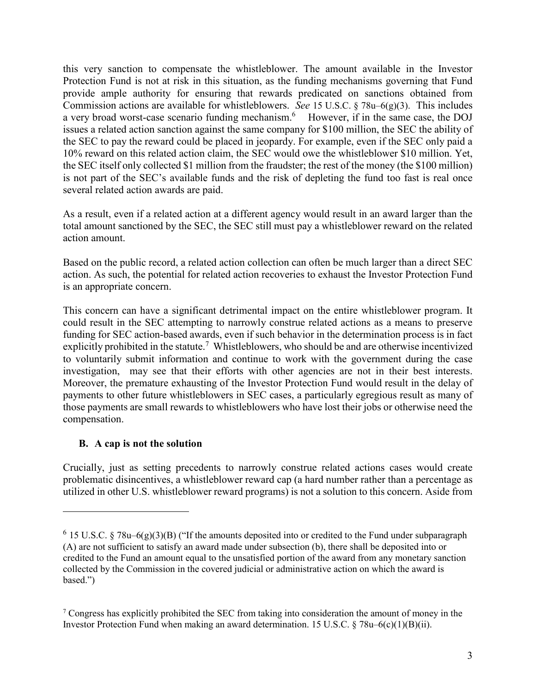this very sanction to compensate the whistleblower. The amount available in the Investor Protection Fund is not at risk in this situation, as the funding mechanisms governing that Fund provide ample authority for ensuring that rewards predicated on sanctions obtained from Commission actions are available for whistleblowers. *See* 15 U.S.C. § 78u–6(g)(3). This includes a very broad worst-case scenario funding mechanism.<sup>6</sup> However, if in the same case, the DOJ issues a related action sanction against the same company for \$100 million, the SEC the ability of the SEC to pay the reward could be placed in jeopardy. For example, even if the SEC only paid a 10% reward on this related action claim, the SEC would owe the whistleblower \$10 million. Yet, the SEC itself only collected \$1 million from the fraudster; the rest of the money (the \$100 million) is not part of the SEC's available funds and the risk of depleting the fund too fast is real once several related action awards are paid.

As a result, even if a related action at a different agency would result in an award larger than the total amount sanctioned by the SEC, the SEC still must pay a whistleblower reward on the related action amount.

Based on the public record, a related action collection can often be much larger than a direct SEC action. As such, the potential for related action recoveries to exhaust the Investor Protection Fund is an appropriate concern.

This concern can have a significant detrimental impact on the entire whistleblower program. It could result in the SEC attempting to narrowly construe related actions as a means to preserve funding for SEC action-based awards, even if such behavior in the determination process is in fact explicitly prohibited in the statute.<sup>7</sup> Whistleblowers, who should be and are otherwise incentivized to voluntarily submit information and continue to work with the government during the case investigation, may see that their efforts with other agencies are not in their best interests. Moreover, the premature exhausting of the Investor Protection Fund would result in the delay of payments to other future whistleblowers in SEC cases, a particularly egregious result as many of those payments are small rewards to whistleblowers who have lost their jobs or otherwise need the compensation.

## **B. A cap is not the solution**

 $\overline{a}$ 

Crucially, just as setting precedents to narrowly construe related actions cases would create problematic disincentives, a whistleblower reward cap (a hard number rather than a percentage as utilized in other U.S. whistleblower reward programs) is not a solution to this concern. Aside from

 $6$  15 U.S.C. § 78u–6(g)(3)(B) ("If the amounts deposited into or credited to the Fund under subparagraph (A) are not sufficient to satisfy an award made under subsection (b), there shall be deposited into or credited to the Fund an amount equal to the unsatisfied portion of the award from any monetary sanction collected by the Commission in the covered judicial or administrative action on which the award is based.")

<sup>&</sup>lt;sup>7</sup> Congress has explicitly prohibited the SEC from taking into consideration the amount of money in the Investor Protection Fund when making an award determination. 15 U.S.C.  $\S$  78u–6(c)(1)(B)(ii).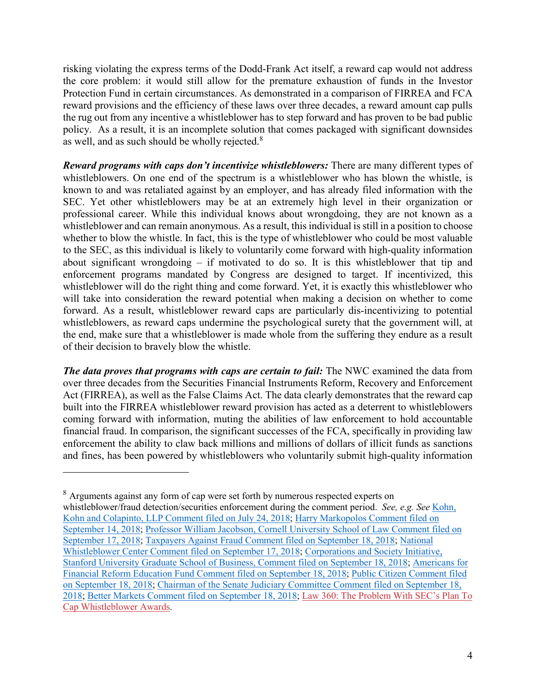risking violating the express terms of the Dodd-Frank Act itself, a reward cap would not address the core problem: it would still allow for the premature exhaustion of funds in the Investor Protection Fund in certain circumstances. As demonstrated in a comparison of FIRREA and FCA reward provisions and the efficiency of these laws over three decades, a reward amount cap pulls the rug out from any incentive a whistleblower has to step forward and has proven to be bad public policy. As a result, it is an incomplete solution that comes packaged with significant downsides as well, and as such should be wholly rejected. $8$ 

*Reward programs with caps don't incentivize whistleblowers:* There are many different types of whistleblowers. On one end of the spectrum is a whistleblower who has blown the whistle, is known to and was retaliated against by an employer, and has already filed information with the SEC. Yet other whistleblowers may be at an extremely high level in their organization or professional career. While this individual knows about wrongdoing, they are not known as a whistleblower and can remain anonymous. As a result, this individual is still in a position to choose whether to blow the whistle. In fact, this is the type of whistleblower who could be most valuable to the SEC, as this individual is likely to voluntarily come forward with high-quality information about significant wrongdoing – if motivated to do so. It is this whistleblower that tip and enforcement programs mandated by Congress are designed to target. If incentivized, this whistleblower will do the right thing and come forward. Yet, it is exactly this whistleblower who will take into consideration the reward potential when making a decision on whether to come forward. As a result, whistleblower reward caps are particularly dis-incentivizing to potential whistleblowers, as reward caps undermine the psychological surety that the government will, at the end, make sure that a whistleblower is made whole from the suffering they endure as a result of their decision to bravely blow the whistle.

*The data proves that programs with caps are certain to fail:* The NWC examined the data from over three decades from the Securities Financial Instruments Reform, Recovery and Enforcement Act (FIRREA), as well as the False Claims Act. The data clearly demonstrates that the reward cap built into the FIRREA whistleblower reward provision has acted as a deterrent to whistleblowers coming forward with information, muting the abilities of law enforcement to hold accountable financial fraud. In comparison, the significant successes of the FCA, specifically in providing law enforcement the ability to claw back millions and millions of dollars of illicit funds as sanctions and fines, has been powered by whistleblowers who voluntarily submit high-quality information

 $\overline{a}$ 

<sup>8</sup> Arguments against any form of cap were set forth by numerous respected experts on whistleblower/fraud detection/securities enforcement during the comment period. *See, e.g. See* [Kohn,](https://www.kkc.com/assets/site_18/files/sec/secrulemakingletter-final.pdf)  [Kohn and Colapinto, LLP Comment filed on July 24, 2018;](https://www.kkc.com/assets/site_18/files/sec/secrulemakingletter-final.pdf) [Harry Markopolos Comment filed on](https://www.sec.gov/comments/s7-16-18/s71618-4351184-173304.pdf)  [September 14, 2018;](https://www.sec.gov/comments/s7-16-18/s71618-4351184-173304.pdf) [Professor William Jacobson, Cornell University School of Law Comment filed on](https://www.sec.gov/comments/s7-16-18/s71618-4366409-174879.pdf)  [September 17, 2018;](https://www.sec.gov/comments/s7-16-18/s71618-4366409-174879.pdf) [Taxpayers Against Fraud Comment filed on September 18, 2018;](https://www.sec.gov/comments/s7-16-18/s71618-4373287-175492.pdf) [National](https://www.whistleblowers.org/wp-content/uploads/2018/12/sec-nwc-9-17-18-final.pdf)  [Whistleblower Center Comment filed on September 17, 2018;](https://www.whistleblowers.org/wp-content/uploads/2018/12/sec-nwc-9-17-18-final.pdf) [Corporations and Society Initiative,](https://www.sec.gov/comments/s7-16-18/s71618-4373271-175547.pdf)  [Stanford University Graduate School of Business, Comment filed on September 18, 2018;](https://www.sec.gov/comments/s7-16-18/s71618-4373271-175547.pdf) [Americans for](https://www.sec.gov/comments/s7-16-18/s71618-4373288-175491.pdf)  [Financial Reform Education Fund Comment filed on September 18, 2018;](https://www.sec.gov/comments/s7-16-18/s71618-4373288-175491.pdf) [Public Citizen Comment filed](https://www.sec.gov/comments/s7-16-18/s71618-4368176-175005.pdf)  [on September 18, 2018;](https://www.sec.gov/comments/s7-16-18/s71618-4368176-175005.pdf) [Chairman of the Senate Judiciary Committee Comment filed on September 18,](https://www.sec.gov/comments/s7-16-18/s71618-4373264-175545.pdf)  [2018;](https://www.sec.gov/comments/s7-16-18/s71618-4373264-175545.pdf) [Better Markets Comment filed on September 18, 2018;](https://www.sec.gov/comments/s7-16-18/s71618-4370862-175227.pdf) [Law 360: The Problem With SEC's Plan To](https://www.sec.gov/comments/s7-16-18/s71618.htm)  [Cap Whistleblower Awards.](https://www.sec.gov/comments/s7-16-18/s71618.htm)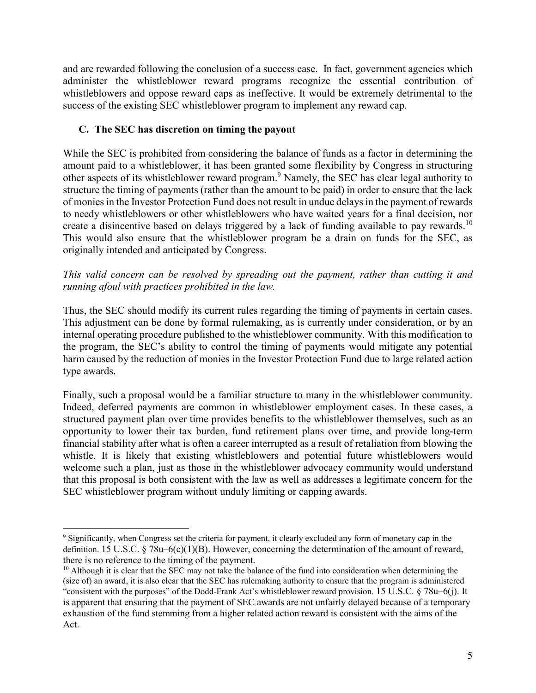and are rewarded following the conclusion of a success case. In fact, government agencies which administer the whistleblower reward programs recognize the essential contribution of whistleblowers and oppose reward caps as ineffective. It would be extremely detrimental to the success of the existing SEC whistleblower program to implement any reward cap.

# **C. The SEC has discretion on timing the payout**

While the SEC is prohibited from considering the balance of funds as a factor in determining the amount paid to a whistleblower, it has been granted some flexibility by Congress in structuring other aspects of its whistleblower reward program.<sup>9</sup> Namely, the SEC has clear legal authority to structure the timing of payments (rather than the amount to be paid) in order to ensure that the lack of monies in the Investor Protection Fund does not result in undue delays in the payment of rewards to needy whistleblowers or other whistleblowers who have waited years for a final decision, nor create a disincentive based on delays triggered by a lack of funding available to pay rewards.<sup>10</sup> This would also ensure that the whistleblower program be a drain on funds for the SEC, as originally intended and anticipated by Congress.

# *This valid concern can be resolved by spreading out the payment, rather than cutting it and running afoul with practices prohibited in the law.*

Thus, the SEC should modify its current rules regarding the timing of payments in certain cases. This adjustment can be done by formal rulemaking, as is currently under consideration, or by an internal operating procedure published to the whistleblower community. With this modification to the program, the SEC's ability to control the timing of payments would mitigate any potential harm caused by the reduction of monies in the Investor Protection Fund due to large related action type awards.

Finally, such a proposal would be a familiar structure to many in the whistleblower community. Indeed, deferred payments are common in whistleblower employment cases. In these cases, a structured payment plan over time provides benefits to the whistleblower themselves, such as an opportunity to lower their tax burden, fund retirement plans over time, and provide long-term financial stability after what is often a career interrupted as a result of retaliation from blowing the whistle. It is likely that existing whistleblowers and potential future whistleblowers would welcome such a plan, just as those in the whistleblower advocacy community would understand that this proposal is both consistent with the law as well as addresses a legitimate concern for the SEC whistleblower program without unduly limiting or capping awards.

<sup>&</sup>lt;sup>9</sup> Significantly, when Congress set the criteria for payment, it clearly excluded any form of monetary cap in the definition. 15 U.S.C. § 78u–6(c)(1)(B). However, concerning the determination of the amount of reward, there is no reference to the timing of the payment.

 $10$  Although it is clear that the SEC may not take the balance of the fund into consideration when determining the (size of) an award, it is also clear that the SEC has rulemaking authority to ensure that the program is administered "consistent with the purposes" of the Dodd-Frank Act's whistleblower reward provision. 15 U.S.C. § 78u–6(j). It is apparent that ensuring that the payment of SEC awards are not unfairly delayed because of a temporary exhaustion of the fund stemming from a higher related action reward is consistent with the aims of the Act.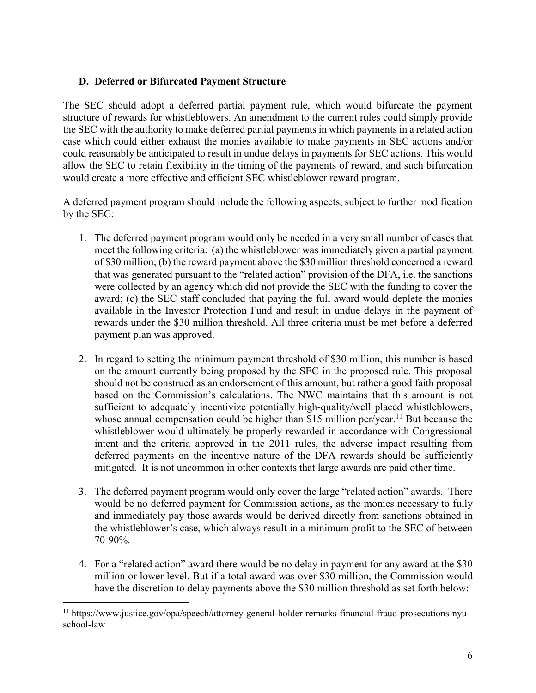#### **D. Deferred or Bifurcated Payment Structure**

The SEC should adopt a deferred partial payment rule, which would bifurcate the payment structure of rewards for whistleblowers. An amendment to the current rules could simply provide the SEC with the authority to make deferred partial payments in which payments in a related action case which could either exhaust the monies available to make payments in SEC actions and/or could reasonably be anticipated to result in undue delays in payments for SEC actions. This would allow the SEC to retain flexibility in the timing of the payments of reward, and such bifurcation would create a more effective and efficient SEC whistleblower reward program.

A deferred payment program should include the following aspects, subject to further modification by the SEC:

- 1. The deferred payment program would only be needed in a very small number of cases that meet the following criteria: (a) the whistleblower was immediately given a partial payment of \$30 million; (b) the reward payment above the \$30 million threshold concerned a reward that was generated pursuant to the "related action" provision of the DFA, i.e. the sanctions were collected by an agency which did not provide the SEC with the funding to cover the award; (c) the SEC staff concluded that paying the full award would deplete the monies available in the Investor Protection Fund and result in undue delays in the payment of rewards under the \$30 million threshold. All three criteria must be met before a deferred payment plan was approved.
- 2. In regard to setting the minimum payment threshold of \$30 million, this number is based on the amount currently being proposed by the SEC in the proposed rule. This proposal should not be construed as an endorsement of this amount, but rather a good faith proposal based on the Commission's calculations. The NWC maintains that this amount is not sufficient to adequately incentivize potentially high-quality/well placed whistleblowers, whose annual compensation could be higher than \$15 million per/year.<sup>11</sup> But because the whistleblower would ultimately be properly rewarded in accordance with Congressional intent and the criteria approved in the 2011 rules, the adverse impact resulting from deferred payments on the incentive nature of the DFA rewards should be sufficiently mitigated. It is not uncommon in other contexts that large awards are paid other time.
- 3. The deferred payment program would only cover the large "related action" awards. There would be no deferred payment for Commission actions, as the monies necessary to fully and immediately pay those awards would be derived directly from sanctions obtained in the whistleblower's case, which always result in a minimum profit to the SEC of between 70-90%.
- 4. For a "related action" award there would be no delay in payment for any award at the \$30 million or lower level. But if a total award was over \$30 million, the Commission would have the discretion to delay payments above the \$30 million threshold as set forth below:

 <sup>11</sup> https://www.justice.gov/opa/speech/attorney-general-holder-remarks-financial-fraud-prosecutions-nyuschool-law